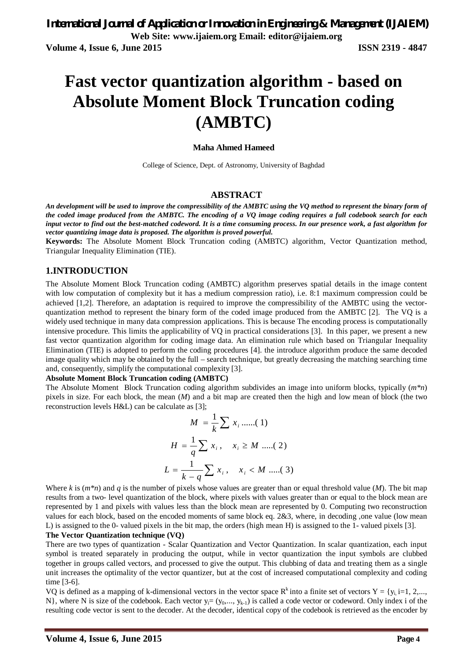# **Fast vector quantization algorithm - based on Absolute Moment Block Truncation coding (AMBTC)**

#### **Maha Ahmed Hameed**

College of Science, Dept. of Astronomy, University of Baghdad

#### **ABSTRACT**

*An development will be used to improve the compressibility of the AMBTC using the VQ method to represent the binary form of the coded image produced from the AMBTC. The encoding of a VQ image coding requires a full codebook search for each input vector to find out the best-matched codeword. It is a time consuming process. In our presence work, a fast algorithm for vector quantizing image data is proposed. The algorithm is proved powerful.*

**Keywords:** The Absolute Moment Block Truncation coding (AMBTC) algorithm, Vector Quantization method, Triangular Inequality Elimination (TIE).

#### **1.INTRODUCTION**

The Absolute Moment Block Truncation coding (AMBTC) algorithm preserves spatial details in the image content with low computation of complexity but it has a medium compression ratio), i.e. 8:1 maximum compression could be achieved [1,2]. Therefore, an adaptation is required to improve the compressibility of the AMBTC using the vectorquantization method to represent the binary form of the coded image produced from the AMBTC [2]. The VQ is a widely used technique in many data compression applications. This is because The encoding process is computationally intensive procedure. This limits the applicability of VQ in practical considerations [3]. In this paper, we present a new fast vector quantization algorithm for coding image data. An elimination rule which based on Triangular Inequality Elimination (TIE) is adopted to perform the coding procedures [4]. the introduce algorithm produce the same decoded image quality which may be obtained by the full – search technique, but greatly decreasing the matching searching time and, consequently, simplify the computational complexity [3].

#### **Absolute Moment Block Truncation coding (AMBTC)**

The Absolute Moment Block Truncation coding algorithm subdivides an image into uniform blocks, typically (*m\*n*) pixels in size. For each block, the mean (*M*) and a bit map are created then the high and low mean of block (the two reconstruction levels H&L) can be calculate as [3];

$$
M = \frac{1}{k} \sum x_i \dots (1)
$$
  

$$
H = \frac{1}{q} \sum x_i, \quad x_i \ge M \dots (2)
$$
  

$$
L = \frac{1}{k - q} \sum x_i, \quad x_i < M \dots (3)
$$

Where *k* is  $(m^*n)$  and *q* is the number of pixels whose values are greater than or equal threshold value (*M*). The bit map results from a two- level quantization of the block, where pixels with values greater than or equal to the block mean are represented by 1 and pixels with values less than the block mean are represented by 0. Computing two reconstruction values for each block, based on the encoded moments of same block eq. 2&3, where, in decoding ,one value (low mean L) is assigned to the 0- valued pixels in the bit map, the orders (high mean H) is assigned to the 1- valued pixels [3].

#### **The Vector Quantization technique (VQ)**

There are two types of quantization - Scalar Quantization and Vector Quantization. In scalar quantization, each input symbol is treated separately in producing the output, while in vector quantization the input symbols are clubbed together in groups called vectors, and processed to give the output. This clubbing of data and treating them as a single unit increases the optimality of the vector quantizer, but at the cost of increased computational complexity and coding time [3-6].

VQ is defined as a mapping of k-dimensional vectors in the vector space  $R^k$  into a finite set of vectors  $Y = \{y_i \mid i=1, 2, \ldots, n\}$ N}, where N is size of the codebook. Each vector  $y_i=(y_0,..., y_{k-1})$  is called a code vector or codeword. Only index i of the resulting code vector is sent to the decoder. At the decoder, identical copy of the codebook is retrieved as the encoder by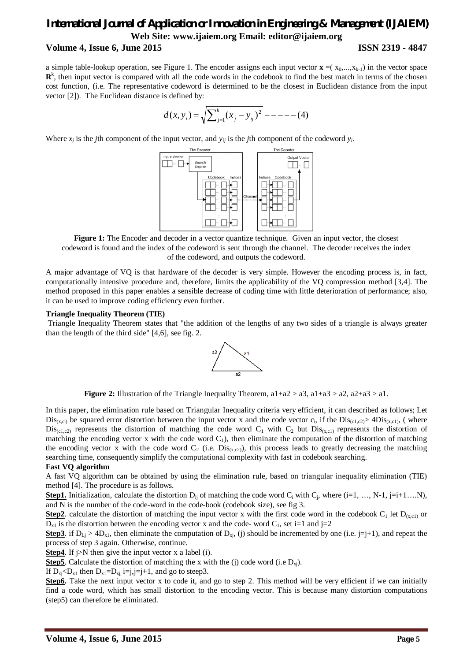# *International Journal of Application or Innovation in Engineering & Management (IJAIEM)* **Web Site: www.ijaiem.org Email: editor@ijaiem.org Volume 4, Issue 6, June 2015 ISSN 2319 - 4847**

a simple table-lookup operation, see Figure 1. The encoder assigns each input vector  $\mathbf{x} = (x_0, ..., x_{k-1})$  in the vector space  $\mathbb{R}^k$ , then input vector is compared with all the code words in the codebook to find the best match in terms of the chosen cost function, (i.e. The representative codeword is determined to be the closest in Euclidean distance from the input vector [2]). The Euclidean distance is defined by:

$$
d(x, y_i) = \sqrt{\sum_{j=1}^{k} (x_j - y_{ij})^2} \, \text{---} \, (4)
$$

Where  $x_j$  is the *j*th component of the input vector, and  $y_i$  is the *j*th component of the codeword  $y_i$ .



**Figure 1:** The Encoder and decoder in a vector quantize technique. Given an input vector, the closest codeword is found and the index of the codeword is sent through the channel. The decoder receives the index of the codeword, and outputs the codeword.

A major advantage of VQ is that hardware of the decoder is very simple. However the encoding process is, in fact, computationally intensive procedure and, therefore, limits the applicability of the VQ compression method [3,4]. The method proposed in this paper enables a sensible decrease of coding time with little deterioration of performance; also, it can be used to improve coding efficiency even further.

#### **Triangle Inequality Theorem (TIE)**

Triangle Inequality Theorem states that "the addition of the lengths of any two sides of a triangle is always greater than the length of the third side" [4,6], see fig. 2.



**Figure 2:** Illustration of the Triangle Inequality Theorem,  $a1+a2 > a3$ ,  $a1+a3 > a2$ ,  $a2+a3 > a1$ .

In this paper, the elimination rule based on Triangular Inequality criteria very efficient, it can described as follows; Let  $Dis_{(x, c i)}$  be squared error distortion between the input vector x and the code vector c<sub>i</sub>, if the  $Dis_{(c1, c2)} > 4Dis_{(x, c1)}$ , (where  $Dis<sub>(x,1,x<sup>2</sup>)</sub>$  represents the distortion of matching the code word C<sub>1</sub> with C<sub>2</sub> but Dis<sub>(x,c1)</sub> represents the distortion of matching the encoding vector x with the code word  $C_1$ ), then eliminate the computation of the distortion of matching the encoding vector x with the code word  $C_2$  (i.e. Dis<sub>(x,c2)</sub>), this process leads to greatly decreasing the matching searching time, consequently simplify the computational complexity with fast in codebook searching.

#### **Fast VQ algorithm**

A fast VQ algorithm can be obtained by using the elimination rule, based on triangular inequality elimination (TIE) method [4]. The procedure is as follows.

**Step1.** Initialization, calculate the distortion  $D_{ij}$  of matching the code word  $C_i$  with  $C_j$ , where  $(i=1, ..., N-1, j=i+1...N)$ , and N is the number of the code-word in the code-book (codebook size), see fig 3.

**Step2**. calculate the distortion of matching the input vector x with the first code word in the codebook  $C_1$  let  $D_{(x,c1)}$  or  $D_{x1}$  is the distortion between the encoding vector x and the code- word  $C_1$ , set i=1 and j=2

**Step3**. if  $D_{Lj} > 4D_{x1}$ , then eliminate the computation of  $D_{xj}$ , (j) should be incremented by one (i.e. j=j+1), and repeat the process of step 3 again. Otherwise, continue.

**Step4**. If  $i>N$  then give the input vector x a label (i).

**<u>Step5</u>**. Calculate the distortion of matching the x with the (j) code word (i.e  $D_{xi}$ ).

If  $D_{xj} < D_{x1}$  then  $D_{x1} = D_{xj}$ ,  $i=j,j=j+1$ , and go to steep3.

**Step6.** Take the next input vector x to code it, and go to step 2. This method will be very efficient if we can initially find a code word, which has small distortion to the encoding vector. This is because many distortion computations (step5) can therefore be eliminated.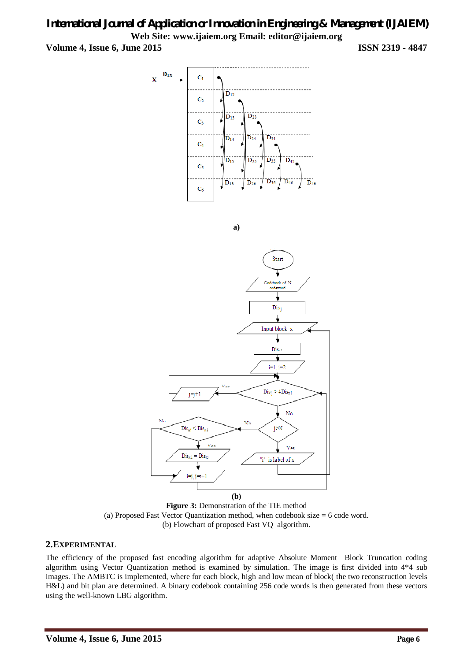# *International Journal of Application or Innovation in Engineering & Management (IJAIEM)* **Web Site: www.ijaiem.org Email: editor@ijaiem.org Volume 4, Issue 6, June 2015 ISSN 2319 - 4847**



**a)**



**Figure 3:** Demonstration of the TIE method (a) Proposed Fast Vector Quantization method, when codebook size = 6 code word. (b) Flowchart of proposed Fast VQ algorithm.

# **2.EXPERIMENTAL**

The efficiency of the proposed fast encoding algorithm for adaptive Absolute Moment Block Truncation coding algorithm using Vector Quantization method is examined by simulation. The image is first divided into 4\*4 sub images. The AMBTC is implemented, where for each block, high and low mean of block( the two reconstruction levels H&L) and bit plan are determined. A binary codebook containing 256 code words is then generated from these vectors using the well-known LBG algorithm.